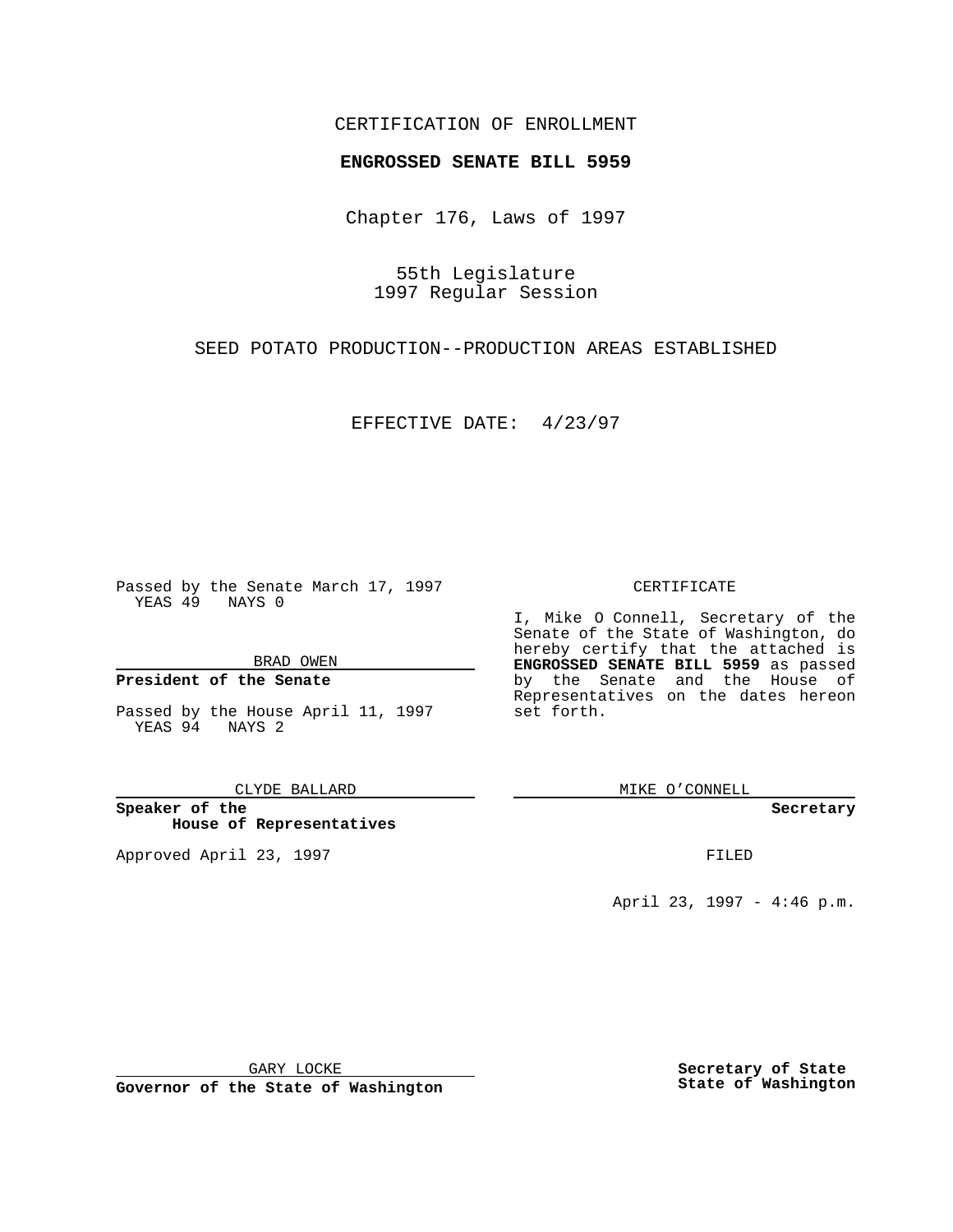### CERTIFICATION OF ENROLLMENT

# **ENGROSSED SENATE BILL 5959**

Chapter 176, Laws of 1997

55th Legislature 1997 Regular Session

SEED POTATO PRODUCTION--PRODUCTION AREAS ESTABLISHED

EFFECTIVE DATE: 4/23/97

Passed by the Senate March 17, 1997 YEAS 49 NAYS 0

BRAD OWEN

### **President of the Senate**

Passed by the House April 11, 1997 YEAS 94 NAYS 2

CLYDE BALLARD

**Speaker of the House of Representatives**

Approved April 23, 1997 **FILED** 

#### CERTIFICATE

I, Mike O Connell, Secretary of the Senate of the State of Washington, do hereby certify that the attached is **ENGROSSED SENATE BILL 5959** as passed by the Senate and the House of Representatives on the dates hereon set forth.

MIKE O'CONNELL

**Secretary**

April 23, 1997 - 4:46 p.m.

GARY LOCKE

**Governor of the State of Washington**

**Secretary of State State of Washington**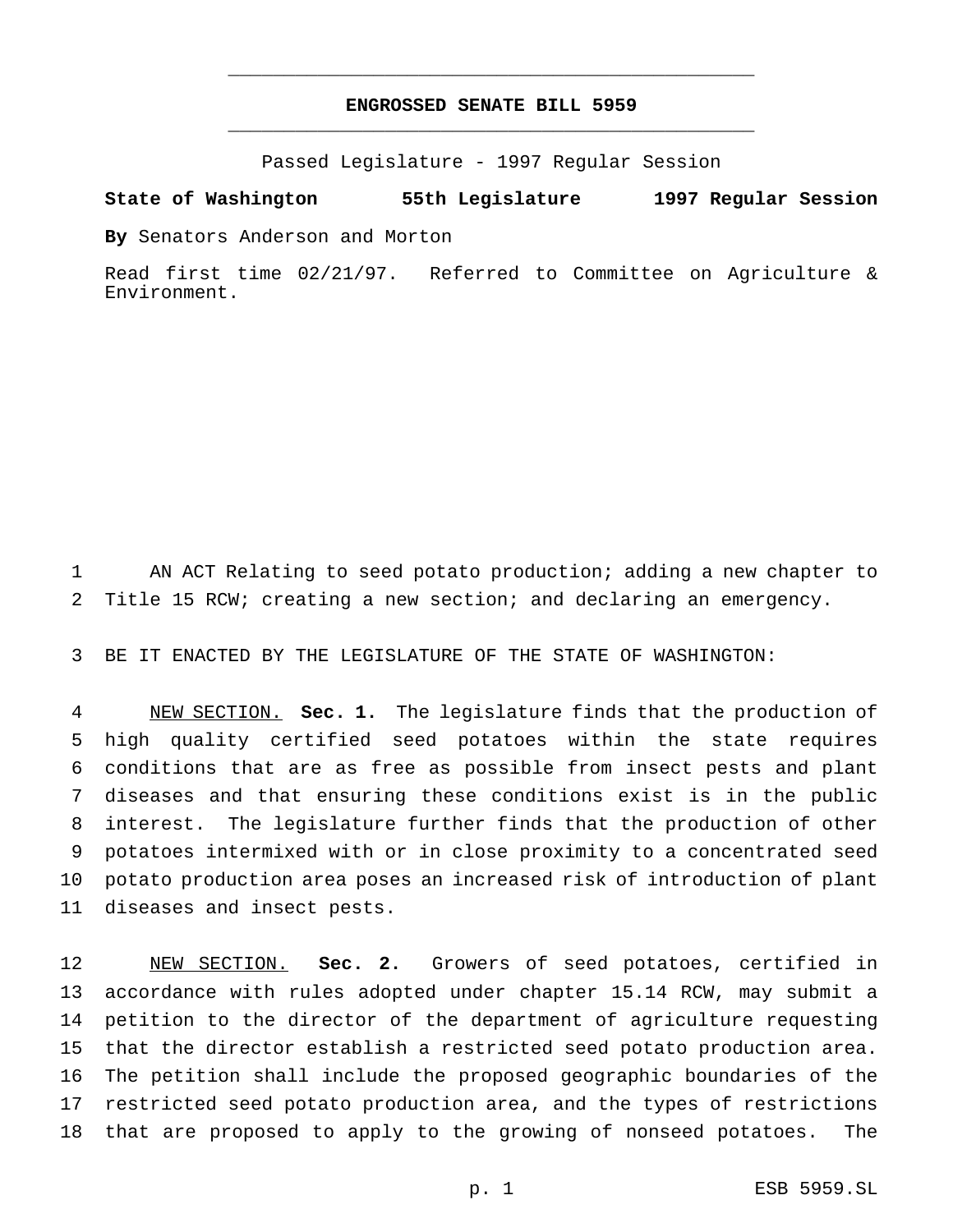## **ENGROSSED SENATE BILL 5959** \_\_\_\_\_\_\_\_\_\_\_\_\_\_\_\_\_\_\_\_\_\_\_\_\_\_\_\_\_\_\_\_\_\_\_\_\_\_\_\_\_\_\_\_\_\_\_

\_\_\_\_\_\_\_\_\_\_\_\_\_\_\_\_\_\_\_\_\_\_\_\_\_\_\_\_\_\_\_\_\_\_\_\_\_\_\_\_\_\_\_\_\_\_\_

Passed Legislature - 1997 Regular Session

**State of Washington 55th Legislature 1997 Regular Session**

**By** Senators Anderson and Morton

Read first time 02/21/97. Referred to Committee on Agriculture & Environment.

 AN ACT Relating to seed potato production; adding a new chapter to Title 15 RCW; creating a new section; and declaring an emergency.

BE IT ENACTED BY THE LEGISLATURE OF THE STATE OF WASHINGTON:

 NEW SECTION. **Sec. 1.** The legislature finds that the production of high quality certified seed potatoes within the state requires conditions that are as free as possible from insect pests and plant diseases and that ensuring these conditions exist is in the public interest. The legislature further finds that the production of other potatoes intermixed with or in close proximity to a concentrated seed potato production area poses an increased risk of introduction of plant diseases and insect pests.

 NEW SECTION. **Sec. 2.** Growers of seed potatoes, certified in accordance with rules adopted under chapter 15.14 RCW, may submit a petition to the director of the department of agriculture requesting that the director establish a restricted seed potato production area. The petition shall include the proposed geographic boundaries of the restricted seed potato production area, and the types of restrictions that are proposed to apply to the growing of nonseed potatoes. The